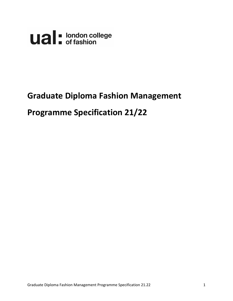

# **Graduate Diploma Fashion Management**

# **Programme Specification 21/22**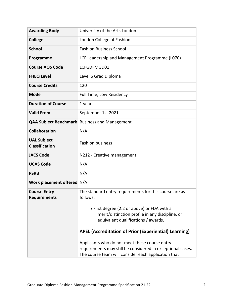| <b>Awarding Body</b>                        | University of the Arts London                                                                                                         |
|---------------------------------------------|---------------------------------------------------------------------------------------------------------------------------------------|
| <b>College</b>                              | London College of Fashion                                                                                                             |
| <b>School</b>                               | <b>Fashion Business School</b>                                                                                                        |
| Programme                                   | LCF Leadership and Management Programme (L070)                                                                                        |
| <b>Course AOS Code</b>                      | LCFGDFMGD01                                                                                                                           |
| <b>FHEQ Level</b>                           | Level 6 Grad Diploma                                                                                                                  |
| <b>Course Credits</b>                       | 120                                                                                                                                   |
| <b>Mode</b>                                 | Full Time, Low Residency                                                                                                              |
| <b>Duration of Course</b>                   | 1 year                                                                                                                                |
| <b>Valid From</b>                           | September 1st 2021                                                                                                                    |
|                                             | <b>QAA Subject Benchmark</b> Business and Management                                                                                  |
| <b>Collaboration</b>                        | N/A                                                                                                                                   |
| <b>UAL Subject</b><br><b>Classification</b> | <b>Fashion business</b>                                                                                                               |
| <b>JACS Code</b>                            | N212 - Creative management                                                                                                            |
| <b>UCAS Code</b>                            | N/A                                                                                                                                   |
| <b>PSRB</b>                                 | N/A                                                                                                                                   |
| Work placement offered N/A                  |                                                                                                                                       |
| <b>Course Entry</b><br><b>Requirements</b>  | The standard entry requirements for this course are as<br>follows:                                                                    |
|                                             | • First degree (2:2 or above) or FDA with a<br>merit/distinction profile in any discipline, or<br>equivalent qualifications / awards. |
|                                             | <b>APEL (Accreditation of Prior (Experiential) Learning)</b>                                                                          |
|                                             | Applicants who do not meet these course entry                                                                                         |
|                                             | requirements may still be considered in exceptional cases.<br>The course team will consider each application that                     |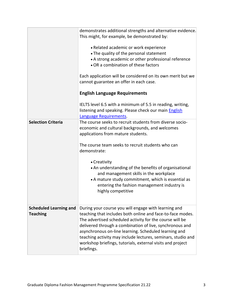|                                                  | demonstrates additional strengths and alternative evidence.<br>This might, for example, be demonstrated by:<br>• Related academic or work experience<br>• The quality of the personal statement<br>• A strong academic or other professional reference<br>• OR a combination of these factors<br>Each application will be considered on its own merit but we<br>cannot guarantee an offer in each case.                                         |
|--------------------------------------------------|-------------------------------------------------------------------------------------------------------------------------------------------------------------------------------------------------------------------------------------------------------------------------------------------------------------------------------------------------------------------------------------------------------------------------------------------------|
|                                                  | <b>English Language Requirements</b>                                                                                                                                                                                                                                                                                                                                                                                                            |
|                                                  | IELTS level 6.5 with a minimum of 5.5 in reading, writing,<br>listening and speaking. Please check our main English<br>Language Requirements.                                                                                                                                                                                                                                                                                                   |
| <b>Selection Criteria</b>                        | The course seeks to recruit students from diverse socio-<br>economic and cultural backgrounds, and welcomes<br>applications from mature students.<br>The course team seeks to recruit students who can                                                                                                                                                                                                                                          |
|                                                  | demonstrate:                                                                                                                                                                                                                                                                                                                                                                                                                                    |
|                                                  | • Creativity<br>• An understanding of the benefits of organisational<br>and management skills in the workplace<br>• A mature study commitment, which is essential as<br>entering the fashion management industry is<br>highly competitive                                                                                                                                                                                                       |
| <b>Scheduled Learning and</b><br><b>Teaching</b> | During your course you will engage with learning and<br>teaching that includes both online and face-to-face modes.<br>The advertised scheduled activity for the course will be<br>delivered through a combination of live, synchronous and<br>asynchronous on-line learning. Scheduled learning and<br>teaching activity may include lectures, seminars, studio and<br>workshop briefings, tutorials, external visits and project<br>briefings. |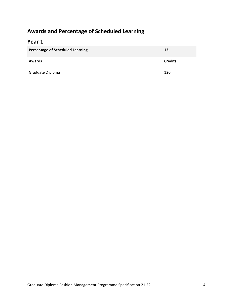# **Awards and Percentage of Scheduled Learning**

# **Year 1**

| <b>Percentage of Scheduled Learning</b> | 13             |  |  |  |  |
|-----------------------------------------|----------------|--|--|--|--|
| <b>Awards</b>                           | <b>Credits</b> |  |  |  |  |
| Graduate Diploma                        | 120            |  |  |  |  |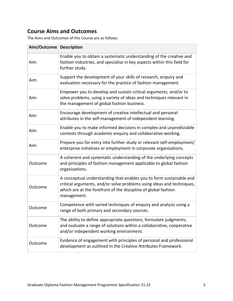# **Course Aims and Outcomes**

The Aims and Outcomes of this Course are as follows:

| Aim/Outcome Description |                                                                                                                                                                                                                               |
|-------------------------|-------------------------------------------------------------------------------------------------------------------------------------------------------------------------------------------------------------------------------|
| Aim                     | Enable you to obtain a systematic understanding of the creative and<br>fashion industries, and specialise in key aspects within this field for<br>further study.                                                              |
| Aim                     | Support the development of your skills of research, enquiry and<br>evaluation necessary for the practice of fashion management.                                                                                               |
| Aim                     | Empower you to develop and sustain critical arguments, and/or to<br>solve problems, using a variety of ideas and techniques relevant in<br>the management of global fashion business.                                         |
| Aim                     | Encourage development of creative intellectual and personal<br>attributes in the self-management of independent learning.                                                                                                     |
| Aim                     | Enable you to make informed decisions in complex and unpredictable<br>contexts through academic enquiry and collaborative working.                                                                                            |
| Aim                     | Prepare you for entry into further study or relevant self-employment/<br>enterprise initiatives or employment in corporate organisations.                                                                                     |
| Outcome                 | A coherent and systematic understanding of the underlying concepts<br>and principles of fashion management applicable to global fashion<br>organisations.                                                                     |
| Outcome                 | A conceptual understanding that enables you to form sustainable and<br>critical arguments, and/or solve problems using ideas and techniques,<br>which are at the forefront of the discipline of global fashion<br>management. |
| Outcome                 | Competence with varied techniques of enquiry and analysis using a<br>range of both primary and secondary sources.                                                                                                             |
| Outcome                 | The ability to define appropriate questions, formulate judgments,<br>and evaluate a range of solutions within a collaborative, cooperative<br>and/or independent working environment.                                         |
| Outcome                 | Evidence of engagement with principles of personal and professional<br>development as outlined in the Creative Attributes Framework.                                                                                          |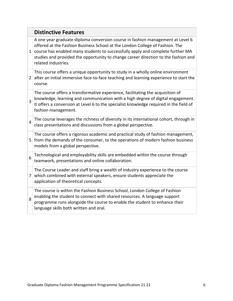|                | <b>Distinctive Features</b>                                                                                                                                                                                                                                                                                                                                   |
|----------------|---------------------------------------------------------------------------------------------------------------------------------------------------------------------------------------------------------------------------------------------------------------------------------------------------------------------------------------------------------------|
| $\mathbf{1}$   | A one year graduate diploma conversion course in fashion management at Level 6<br>offered at the Fashion Business School at the London College of Fashion. The<br>course has enabled many students to successfully apply and complete further MA<br>studies and provided the opportunity to change career direction to the fashion and<br>related industries. |
| $\overline{2}$ | This course offers a unique opportunity to study in a wholly online environment<br>after an initial immersive face-to-face teaching and learning experience to start the<br>course.                                                                                                                                                                           |
| $\overline{3}$ | The course offers a transformative experience, facilitating the acquisition of<br>knowledge, learning and communication with a high degree of digital engagement.<br>It offers a conversion at Level 6 to the specialist knowledge required in the field of<br>fashion management.                                                                            |
| $\overline{4}$ | The course leverages the richness of diversity in its international cohort, through in<br>class presentations and discussions from a global perspective.                                                                                                                                                                                                      |
| 5              | The course offers a rigorous academic and practical study of fashion management,<br>from the demands of the consumer, to the operations of modern fashion business<br>models from a global perspective.                                                                                                                                                       |
| 6              | Technological and employability skills are embedded within the course through<br>teamwork, presentations and online collaboration.                                                                                                                                                                                                                            |
| 7 <sup>1</sup> | The Course Leader and staff bring a wealth of industry experience to the course<br>which combined with external speakers, ensure students appreciate the<br>application of theoretical concepts.                                                                                                                                                              |
| 8              | The course is within the Fashion Business School, London College of Fashion<br>enabling the student to connect with shared resources. A language support<br>programme runs alongside the course to enable the student to enhance their<br>language skills both written and oral.                                                                              |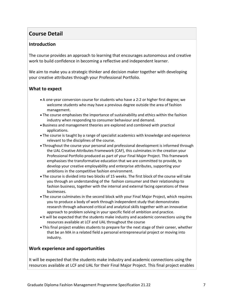# **Course Detail**

#### **Introduction**

The course provides an approach to learning that encourages autonomous and creative work to build confidence in becoming a reflective and independent learner.

We aim to make you a strategic thinker and decision maker together with developing your creative attributes through your Professional Portfolio.

#### **What to expect**

- A one-year conversion course for students who have a 2:2 or higher first degree; we welcome students who may have a previous degree outside the area of fashion management.
- The course emphasises the importance of sustainability and ethics within the fashion industry when responding to consumer behaviour and demand.
- Business and management theories are explored and combined with practical applications.
- The course is taught by a range of specialist academics with knowledge and experience relevant to the disciplines of the course.
- Throughout the course your personal and professional development is informed through the UAL Creative Attributes Framework (CAF), this culminates in the creation your Professional Portfolio produced as part of your Final Major Project. This framework emphasises the transformative education that we are committed to provide, to develop your creative employability and enterprise attributes, supporting your ambitions in the competitive fashion environment.
- The course is divided into two blocks of 15 weeks. The first block of the course will take you through an understanding of the fashion consumer and their relationship to fashion business, together with the internal and external facing operations of these businesses.
- The course culminates in the second block with your Final Major Project, which requires you to produce a body of work through independent study that demonstrates research through advanced critical and analytical skills together with an innovative approach to problem solving in your specific field of ambition and practice.
- It will be expected that the students make industry and academic connections using the resources available at LCF and UAL throughout the course
- This final project enables students to prepare for the next stage of their career, whether that be an MA in a related field a personal entrepreneurial project or moving into industry.

#### **Work experience and opportunities**

It will be expected that the students make industry and academic connections using the resources available at LCF and UAL for their Final Major Project. This final project enables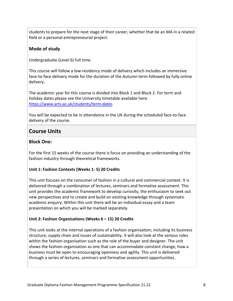students to prepare for the next stage of their career, whether that be an MA in a related field or a personal entrepreneurial project.

#### **Mode of study**

Undergraduate (Level 6) full time.

This course will follow a low-residency mode of delivery which includes an immersive face-to-face delivery mode for the duration of the Autumn term followed by fully online delivery.

The academic year for this course is divided into Block 1 and Block 2. For term and holiday dates please see the University timetable available here: <https://www.arts.ac.uk/students/term-dates>

You will be expected to be in attendance in the UK during the scheduled face-to-face delivery of the course.

### **Course Units**

#### **Block One:**

For the first 15 weeks of the course there is focus on providing an understanding of the fashion industry through theoretical frameworks.

#### **Unit 1: Fashion Contexts (Weeks 1- 5) 20 Credits**

This unit focuses on the consumer of fashion in a cultural and commercial context. It is delivered through a combination of lectures, seminars and formative assessment. This unit provides the academic framework to develop curiosity, the enthusiasm to seek out new perspectives and to create and build on existing knowledge through systematic academic enquiry. Within this unit there will be an individual essay and a team presentation on which you will be marked separately.

#### **Unit 2: Fashion Organisations (Weeks 6 – 15) 20 Credits**

This unit looks at the internal operations of a fashion organisation; including its business structure, supply chain and issues of sustainability. It will also look at the various roles within the fashion organisation such as the role of the buyer and designer. The unit shows the fashion organisation as one that can accommodate constant change, how a business must be open to encouraging openness and agility. This unit is delivered through a series of lectures, seminars and formative assessment opportunities.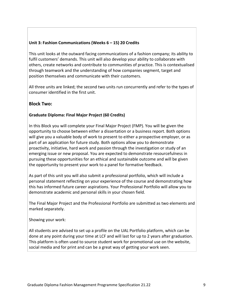#### **Unit 3: Fashion Communications (Weeks 6 – 15) 20 Credits**

This unit looks at the outward facing communications of a fashion company; its ability to fulfil customers' demands. This unit will also develop your ability to collaborate with others, create networks and contribute to communities of practice. This is contextualised through teamwork and the understanding of how companies segment, target and position themselves and communicate with their customers.

All three units are linked; the second two units run concurrently and refer to the types of consumer identified in the first unit.

#### **Block Two:**

#### **Graduate Diploma: Final Major Project (60 Credits)**

In this Block you will complete your Final Major Project (FMP). You will be given the opportunity to choose between either a dissertation or a business report. Both options will give you a valuable body of work to present to either a prospective employer, or as part of an application for future study. Both options allow you to demonstrate proactivity, initiative, hard work and passion through the investigation or study of an emerging issue or new proposal. You are expected to demonstrate resourcefulness in pursuing these opportunities for an ethical and sustainable outcome and will be given the opportunity to present your work to a panel for formative feedback.

As part of this unit you will also submit a professional portfolio, which will include a personal statement reflecting on your experience of the course and demonstrating how this has informed future career aspirations. Your Professional Portfolio will allow you to demonstrate academic and personal skills in your chosen field.

The Final Major Project and the Professional Portfolio are submitted as two elements and marked separately.

Showing your work:

All students are advised to set up a profile on the UAL Portfolio platform, which can be done at any point during your time at LCF and will last for up to 2 years after graduation. This platform is often used to source student work for promotional use on the website, social media and for print and can be a great way of getting your work seen.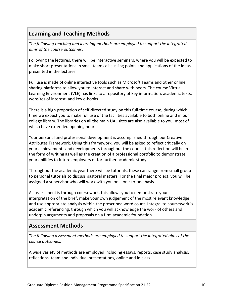# **Learning and Teaching Methods**

*The following teaching and learning methods are employed to support the integrated aims of the course outcomes:*

Following the lectures, there will be interactive seminars, where you will be expected to make short presentations in small teams discussing points and applications of the ideas presented in the lectures.

Full use is made of online interactive tools such as Microsoft Teams and other online sharing platforms to allow you to interact and share with peers. The course Virtual Learning Environment (VLE) has links to a repository of key information, academic texts, websites of interest, and key e-books.

There is a high proportion of self-directed study on this full-time course, during which time we expect you to make full use of the facilities available to both online and in our college library. The libraries on all the main UAL sites are also available to you, most of which have extended opening hours.

Your personal and professional development is accomplished through our Creative Attributes Framework. Using this framework, you will be asked to reflect critically on your achievements and developments throughout the course, this reflection will be in the form of writing as well as the creation of a professional portfolio to demonstrate your abilities to future employers or for further academic study.

Throughout the academic year there will be tutorials, these can range from small group to personal tutorials to discuss pastoral matters. For the final major project, you will be assigned a supervisor who will work with you on a one-to-one basis.

All assessment is through coursework, this allows you to demonstrate your interpretation of the brief, make your own judgement of the most relevant knowledge and use appropriate analysis within the prescribed word count. Integral to coursework is academic referencing, through which you will acknowledge the work of others and underpin arguments and proposals on a firm academic foundation.

## **Assessment Methods**

*The following assessment methods are employed to support the integrated aims of the course outcomes:*

A wide variety of methods are employed including essays, reports, case study analysis, reflections, team and individual presentations, online and in class.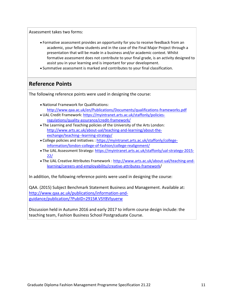Assessment takes two forms:

- Formative assessment provides an opportunity for you to receive feedback from an academic, your fellow students and in the case of the Final Major Project through a presentation that will be made in a business and/or academic context. Whilst formative assessment does not contribute to your final grade, is an activity designed to assist you in your learning and is important for your development.
- Summative assessment is marked and contributes to your final classification.

## **Reference Points**

The following reference points were used in designing the course:

- National Framework for Qualifications: <http://www.qaa.ac.uk/en/Publications/Documents/qualifications-frameworks.pdf>
- UAL Credit Framework[: https://myintranet.arts.ac.uk/staffonly/policies](https://myintranet.arts.ac.uk/staffonly/policies-regulations/quality-assurance/credit-framework/)[regulations/quality-assurance/credit-framework/](https://myintranet.arts.ac.uk/staffonly/policies-regulations/quality-assurance/credit-framework/)
- The Learning and Teaching policies of the University of the Arts London: [http://www.arts.ac.uk/about-ual/teaching-and-learning/about-the](http://www.arts.ac.uk/about-ual/teaching-and-learning/about-the-exchange/teaching--learning-strategy/)[exchange/teaching--learning-strategy/](http://www.arts.ac.uk/about-ual/teaching-and-learning/about-the-exchange/teaching--learning-strategy/)
- College policies and initiatives : [https://myintranet.arts.ac.uk/staffonly/college](https://myintranet.arts.ac.uk/staffonly/college-information/london-college-of-fashion/college-realignment/)[information/london-college-of-fashion/college-realignment/](https://myintranet.arts.ac.uk/staffonly/college-information/london-college-of-fashion/college-realignment/)
- The UAL Assessment Strategy[: https://myintranet.arts.ac.uk/staffonly/ual-strategy-2015-](https://myintranet.arts.ac.uk/staffonly/ual-strategy-2015-22/) [22/](https://myintranet.arts.ac.uk/staffonly/ual-strategy-2015-22/)
- The UAL Creative Attributes Framework : [http://www.arts.ac.uk/about-ual/teaching-and](http://www.arts.ac.uk/about-ual/teaching-and-learning/careers-and-employability/creative-attributes-framework/)[learning/careers-and-employability/creative-attributes-framework/](http://www.arts.ac.uk/about-ual/teaching-and-learning/careers-and-employability/creative-attributes-framework/)

In addition, the following reference points were used in designing the course:

QAA. (2015) Subject Benchmark Statement Business and Management. Available at: [http://www.qaa.ac.uk/publications/information-and](http://www.qaa.ac.uk/publications/information-and-guidance/publication/?PubID=2915#.VSY8Vlyuerw)[guidance/publication/?PubID=2915#.VSY8Vlyuerw](http://www.qaa.ac.uk/publications/information-and-guidance/publication/?PubID=2915#.VSY8Vlyuerw)

Discussion held in Autumn 2016 and early 2017 to inform course design include: the teaching team, Fashion Business School Postgraduate Course.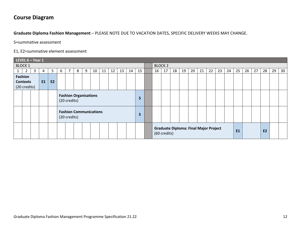# **Course Diagram**

**Graduate Diploma Fashion Management** – PLEASE NOTE DUE TO VACATION DATES, SPECIFIC DELIVERY WEEKS MAY CHANGE.

S=summative assessment

#### E1, E2=summative element assessment

|                                                               | LEVEL $6 -$ Year 1 |   |   |   |                                                      |  |  |  |  |  |  |  |                |  |  |                                                              |    |    |    |    |    |    |    |    |    |    |           |    |    |    |
|---------------------------------------------------------------|--------------------|---|---|---|------------------------------------------------------|--|--|--|--|--|--|--|----------------|--|--|--------------------------------------------------------------|----|----|----|----|----|----|----|----|----|----|-----------|----|----|----|
| <b>BLOCK 1</b>                                                |                    |   |   |   |                                                      |  |  |  |  |  |  |  | <b>BLOCK 2</b> |  |  |                                                              |    |    |    |    |    |    |    |    |    |    |           |    |    |    |
|                                                               | $\overline{2}$     | 3 | 4 | 5 | 15<br>7<br>10<br>12<br>8<br>11<br>13<br>6<br>14<br>9 |  |  |  |  |  |  |  |                |  |  | 16                                                           | 17 | 18 | 19 | 20 | 21 | 22 | 23 | 24 | 25 | 26 | 27        | 28 | 29 | 30 |
| Fashion<br>E1<br><b>E2</b><br><b>Contexts</b><br>(20 credits) |                    |   |   |   |                                                      |  |  |  |  |  |  |  |                |  |  |                                                              |    |    |    |    |    |    |    |    |    |    |           |    |    |    |
|                                                               |                    |   |   |   | <b>Fashion Organisations</b><br>S<br>(20 credits)    |  |  |  |  |  |  |  |                |  |  |                                                              |    |    |    |    |    |    |    |    |    |    |           |    |    |    |
|                                                               |                    |   |   |   | <b>Fashion Communications</b><br>S<br>(20 credits)   |  |  |  |  |  |  |  |                |  |  |                                                              |    |    |    |    |    |    |    |    |    |    |           |    |    |    |
|                                                               |                    |   |   |   |                                                      |  |  |  |  |  |  |  |                |  |  | <b>Graduate Diploma: Final Major Project</b><br>(60 credits) |    |    |    |    |    |    |    | E1 |    |    | <b>E2</b> |    |    |    |